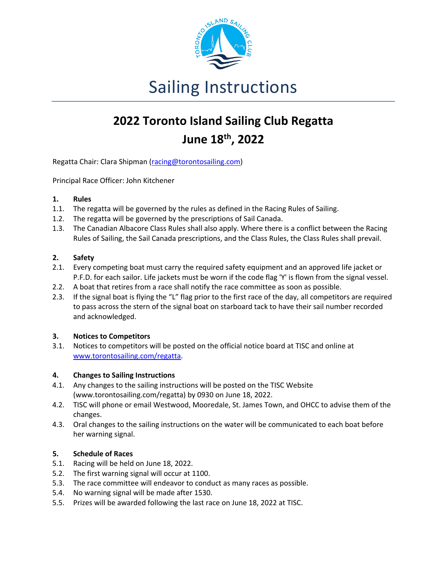

# Sailing Instructions

## **2022 Toronto Island Sailing Club Regatta June 18th , 2022**

Regatta Chair: Clara Shipman (racing@torontosailing.com)

Principal Race Officer: John Kitchener

## **1. Rules**

- 1.1. The regatta will be governed by the rules as defined in the Racing Rules of Sailing.
- 1.2. The regatta will be governed by the prescriptions of Sail Canada.
- 1.3. The Canadian Albacore Class Rules shall also apply. Where there is a conflict between the Racing Rules of Sailing, the Sail Canada prescriptions, and the Class Rules, the Class Rules shall prevail.

## **2. Safety**

- 2.1. Every competing boat must carry the required safety equipment and an approved life jacket or P.F.D. for each sailor. Life jackets must be worn if the code flag 'Y' is flown from the signal vessel.
- 2.2. A boat that retires from a race shall notify the race committee as soon as possible.
- 2.3. If the signal boat is flying the "L" flag prior to the first race of the day, all competitors are required to pass across the stern of the signal boat on starboard tack to have their sail number recorded and acknowledged.

#### **3. Notices to Competitors**

3.1. Notices to competitors will be posted on the official notice board at TISC and online at www.torontosailing.com/regatta.

## **4. Changes to Sailing Instructions**

- 4.1. Any changes to the sailing instructions will be posted on the TISC Website (www.torontosailing.com/regatta) by 0930 on June 18, 2022.
- 4.2. TISC will phone or email Westwood, Mooredale, St. James Town, and OHCC to advise them of the changes.
- 4.3. Oral changes to the sailing instructions on the water will be communicated to each boat before her warning signal.

#### **5. Schedule of Races**

- 5.1. Racing will be held on June 18, 2022.
- 5.2. The first warning signal will occur at 1100.
- 5.3. The race committee will endeavor to conduct as many races as possible.
- 5.4. No warning signal will be made after 1530.
- 5.5. Prizes will be awarded following the last race on June 18, 2022 at TISC.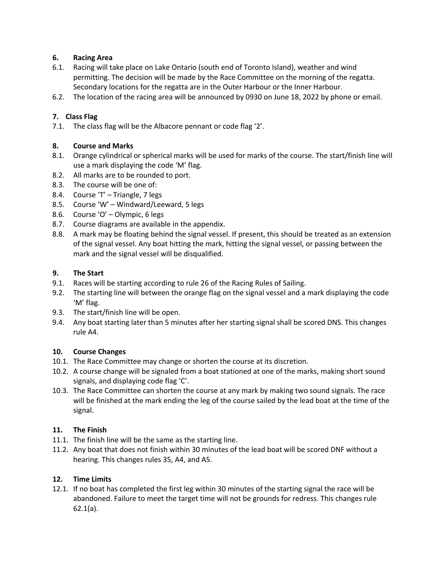## **6. Racing Area**

- 6.1. Racing will take place on Lake Ontario (south end of Toronto Island), weather and wind permitting. The decision will be made by the Race Committee on the morning of the regatta. Secondary locations for the regatta are in the Outer Harbour or the Inner Harbour.
- 6.2. The location of the racing area will be announced by 0930 on June 18, 2022 by phone or email.

## **7. Class Flag**

7.1. The class flag will be the Albacore pennant or code flag '2'.

## **8. Course and Marks**

- 8.1. Orange cylindrical or spherical marks will be used for marks of the course. The start/finish line will use a mark displaying the code 'M' flag.
- 8.2. All marks are to be rounded to port.
- 8.3. The course will be one of:
- 8.4. Course 'T' Triangle, 7 legs
- 8.5. Course 'W' Windward/Leeward, 5 legs
- 8.6. Course 'O' Olympic, 6 legs
- 8.7. Course diagrams are available in the appendix.
- 8.8. A mark may be floating behind the signal vessel. If present, this should be treated as an extension of the signal vessel. Any boat hitting the mark, hitting the signal vessel, or passing between the mark and the signal vessel will be disqualified.

## **9. The Start**

- 9.1. Races will be starting according to rule 26 of the Racing Rules of Sailing.
- 9.2. The starting line will between the orange flag on the signal vessel and a mark displaying the code 'M' flag.
- 9.3. The start/finish line will be open.
- 9.4. Any boat starting later than 5 minutes after her starting signal shall be scored DNS. This changes rule A4.

## **10. Course Changes**

- 10.1. The Race Committee may change or shorten the course at its discretion.
- 10.2. A course change will be signaled from a boat stationed at one of the marks, making short sound signals, and displaying code flag 'C'.
- 10.3. The Race Committee can shorten the course at any mark by making two sound signals. The race will be finished at the mark ending the leg of the course sailed by the lead boat at the time of the signal.

## **11. The Finish**

- 11.1. The finish line will be the same as the starting line.
- 11.2. Any boat that does not finish within 30 minutes of the lead boat will be scored DNF without a hearing. This changes rules 35, A4, and A5.

## **12. Time Limits**

12.1. If no boat has completed the first leg within 30 minutes of the starting signal the race will be abandoned. Failure to meet the target time will not be grounds for redress. This changes rule 62.1(a).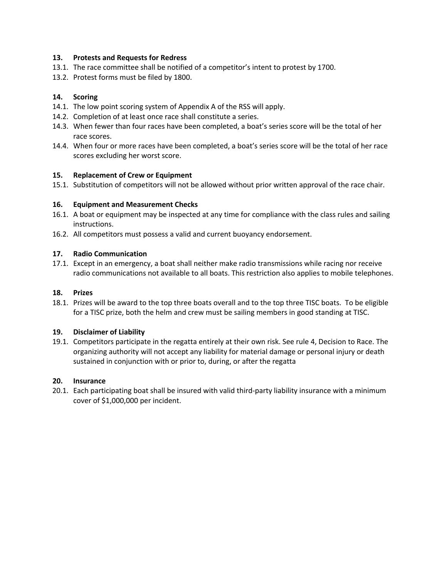#### **13. Protests and Requests for Redress**

- 13.1. The race committee shall be notified of a competitor's intent to protest by 1700.
- 13.2. Protest forms must be filed by 1800.

#### **14. Scoring**

- 14.1. The low point scoring system of Appendix A of the RSS will apply.
- 14.2. Completion of at least once race shall constitute a series.
- 14.3. When fewer than four races have been completed, a boat's series score will be the total of her race scores.
- 14.4. When four or more races have been completed, a boat's series score will be the total of her race scores excluding her worst score.

#### **15. Replacement of Crew or Equipment**

15.1. Substitution of competitors will not be allowed without prior written approval of the race chair.

#### **16. Equipment and Measurement Checks**

- 16.1. A boat or equipment may be inspected at any time for compliance with the class rules and sailing instructions.
- 16.2. All competitors must possess a valid and current buoyancy endorsement.

#### **17. Radio Communication**

17.1. Except in an emergency, a boat shall neither make radio transmissions while racing nor receive radio communications not available to all boats. This restriction also applies to mobile telephones.

#### **18. Prizes**

18.1. Prizes will be award to the top three boats overall and to the top three TISC boats. To be eligible for a TISC prize, both the helm and crew must be sailing members in good standing at TISC.

#### **19. Disclaimer of Liability**

19.1. Competitors participate in the regatta entirely at their own risk. See rule 4, Decision to Race. The organizing authority will not accept any liability for material damage or personal injury or death sustained in conjunction with or prior to, during, or after the regatta

#### **20. Insurance**

20.1. Each participating boat shall be insured with valid third-party liability insurance with a minimum cover of \$1,000,000 per incident.